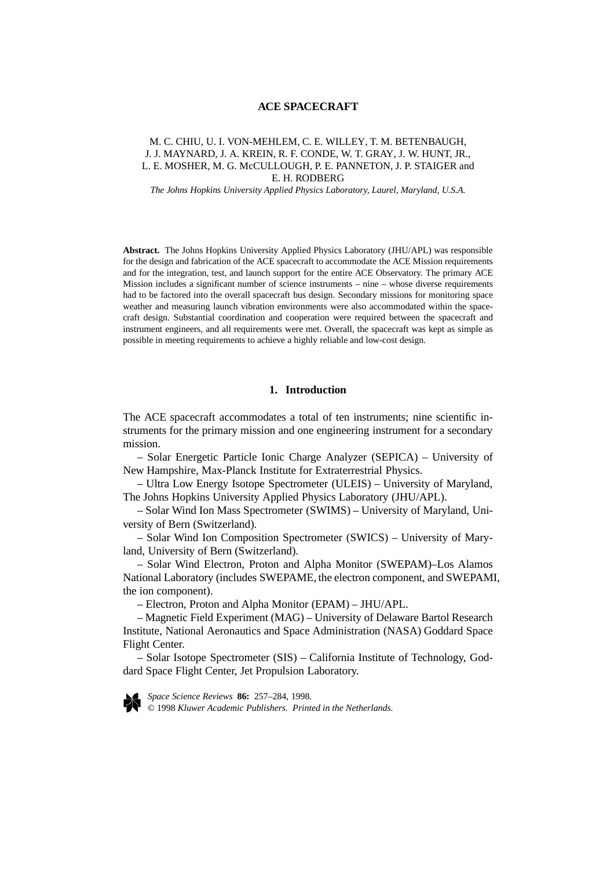## M. C. CHIU, U. I. VON-MEHLEM, C. E. WILLEY, T. M. BETENBAUGH, J. J. MAYNARD, J. A. KREIN, R. F. CONDE, W. T. GRAY, J. W. HUNT, JR., L. E. MOSHER, M. G. McCULLOUGH, P. E. PANNETON, J. P. STAIGER and E. H. RODBERG

*The Johns Hopkins University Applied Physics Laboratory, Laurel, Maryland, U.S.A.*

**Abstract.** The Johns Hopkins University Applied Physics Laboratory (JHU/APL) was responsible for the design and fabrication of the ACE spacecraft to accommodate the ACE Mission requirements and for the integration, test, and launch support for the entire ACE Observatory. The primary ACE Mission includes a significant number of science instruments – nine – whose diverse requirements had to be factored into the overall spacecraft bus design. Secondary missions for monitoring space weather and measuring launch vibration environments were also accommodated within the spacecraft design. Substantial coordination and cooperation were required between the spacecraft and instrument engineers, and all requirements were met. Overall, the spacecraft was kept as simple as possible in meeting requirements to achieve a highly reliable and low-cost design.

## **1. Introduction**

The ACE spacecraft accommodates a total of ten instruments; nine scientific instruments for the primary mission and one engineering instrument for a secondary mission.

– Solar Energetic Particle Ionic Charge Analyzer (SEPICA) – University of New Hampshire, Max-Planck Institute for Extraterrestrial Physics.

– Ultra Low Energy Isotope Spectrometer (ULEIS) – University of Maryland, The Johns Hopkins University Applied Physics Laboratory (JHU/APL).

– Solar Wind Ion Mass Spectrometer (SWIMS) – University of Maryland, University of Bern (Switzerland).

– Solar Wind Ion Composition Spectrometer (SWICS) – University of Maryland, University of Bern (Switzerland).

– Solar Wind Electron, Proton and Alpha Monitor (SWEPAM)–Los Alamos National Laboratory (includes SWEPAME, the electron component, and SWEPAMI, the ion component).

– Electron, Proton and Alpha Monitor (EPAM) – JHU/APL.

– Magnetic Field Experiment (MAG) – University of Delaware Bartol Research Institute, National Aeronautics and Space Administration (NASA) Goddard Space Flight Center.

– Solar Isotope Spectrometer (SIS) – California Institute of Technology, Goddard Space Flight Center, Jet Propulsion Laboratory.

*Space Science Reviews* **86:** 257–284, 1998. © 1998 *Kluwer Academic Publishers. Printed in the Netherlands.*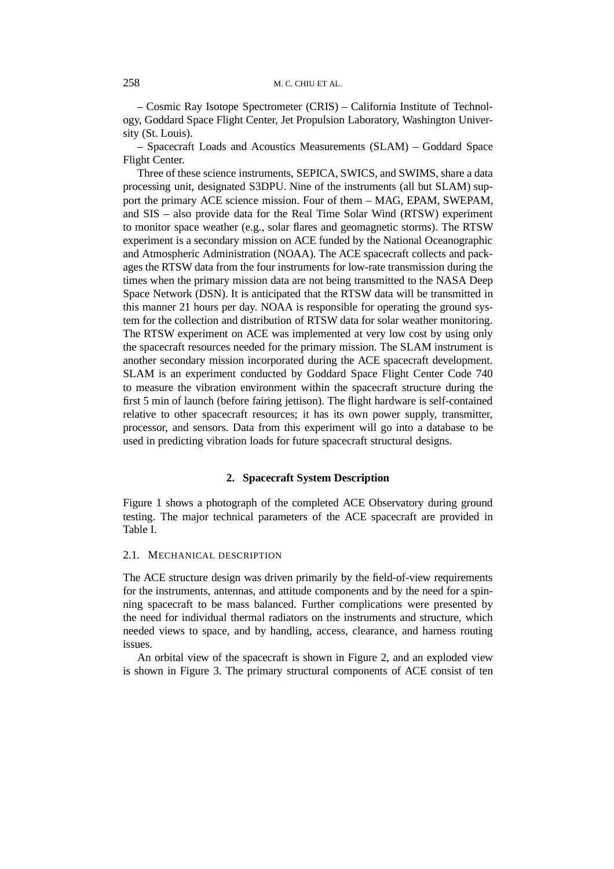– Cosmic Ray Isotope Spectrometer (CRIS) – California Institute of Technology, Goddard Space Flight Center, Jet Propulsion Laboratory, Washington University (St. Louis).

– Spacecraft Loads and Acoustics Measurements (SLAM) – Goddard Space Flight Center.

Three of these science instruments, SEPICA, SWICS, and SWIMS, share a data processing unit, designated S3DPU. Nine of the instruments (all but SLAM) support the primary ACE science mission. Four of them – MAG, EPAM, SWEPAM, and SIS – also provide data for the Real Time Solar Wind (RTSW) experiment to monitor space weather (e.g., solar flares and geomagnetic storms). The RTSW experiment is a secondary mission on ACE funded by the National Oceanographic and Atmospheric Administration (NOAA). The ACE spacecraft collects and packages the RTSW data from the four instruments for low-rate transmission during the times when the primary mission data are not being transmitted to the NASA Deep Space Network (DSN). It is anticipated that the RTSW data will be transmitted in this manner 21 hours per day. NOAA is responsible for operating the ground system for the collection and distribution of RTSW data for solar weather monitoring. The RTSW experiment on ACE was implemented at very low cost by using only the spacecraft resources needed for the primary mission. The SLAM instrument is another secondary mission incorporated during the ACE spacecraft development. SLAM is an experiment conducted by Goddard Space Flight Center Code 740 to measure the vibration environment within the spacecraft structure during the first 5 min of launch (before fairing jettison). The flight hardware is self-contained relative to other spacecraft resources; it has its own power supply, transmitter, processor, and sensors. Data from this experiment will go into a database to be used in predicting vibration loads for future spacecraft structural designs.

## **2. Spacecraft System Description**

Figure 1 shows a photograph of the completed ACE Observatory during ground testing. The major technical parameters of the ACE spacecraft are provided in Table I.

## 2.1. MECHANICAL DESCRIPTION

The ACE structure design was driven primarily by the field-of-view requirements for the instruments, antennas, and attitude components and by the need for a spinning spacecraft to be mass balanced. Further complications were presented by the need for individual thermal radiators on the instruments and structure, which needed views to space, and by handling, access, clearance, and harness routing issues.

An orbital view of the spacecraft is shown in Figure 2, and an exploded view is shown in Figure 3. The primary structural components of ACE consist of ten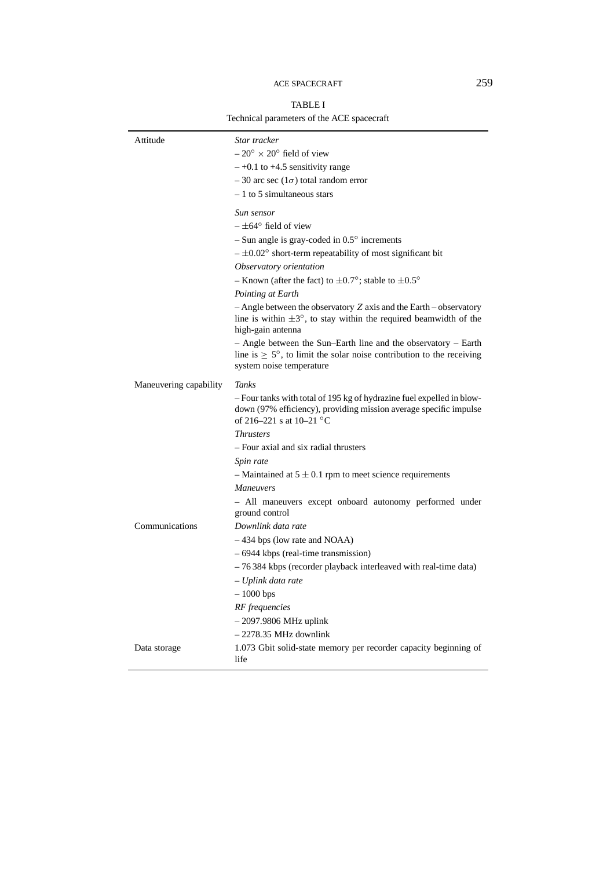# TABLE I

Technical parameters of the ACE spacecraft

| Attitude               | Star tracker<br>$-20^{\circ} \times 20^{\circ}$ field of view                                                                                                                |  |  |  |  |  |
|------------------------|------------------------------------------------------------------------------------------------------------------------------------------------------------------------------|--|--|--|--|--|
|                        | $-+0.1$ to $+4.5$ sensitivity range                                                                                                                                          |  |  |  |  |  |
|                        | $-30$ arc sec $(1\sigma)$ total random error<br>$-1$ to 5 simultaneous stars                                                                                                 |  |  |  |  |  |
|                        |                                                                                                                                                                              |  |  |  |  |  |
|                        | Sun sensor                                                                                                                                                                   |  |  |  |  |  |
|                        | $-\pm 64^{\circ}$ field of view                                                                                                                                              |  |  |  |  |  |
|                        | $-$ Sun angle is gray-coded in 0.5 $\degree$ increments                                                                                                                      |  |  |  |  |  |
|                        | $- \pm 0.02$ ° short-term repeatability of most significant bit                                                                                                              |  |  |  |  |  |
|                        | Observatory orientation                                                                                                                                                      |  |  |  |  |  |
|                        | - Known (after the fact) to $\pm 0.7^{\circ}$ ; stable to $\pm 0.5^{\circ}$                                                                                                  |  |  |  |  |  |
|                        | Pointing at Earth                                                                                                                                                            |  |  |  |  |  |
|                        | $-$ Angle between the observatory Z axis and the Earth $-$ observatory<br>line is within $\pm 3^{\circ}$ , to stay within the required beamwidth of the<br>high-gain antenna |  |  |  |  |  |
|                        | - Angle between the Sun-Earth line and the observatory - Earth<br>line is $\geq$ 5°, to limit the solar noise contribution to the receiving<br>system noise temperature      |  |  |  |  |  |
| Maneuvering capability | <b>Tanks</b>                                                                                                                                                                 |  |  |  |  |  |
|                        | - Four tanks with total of 195 kg of hydrazine fuel expelled in blow-<br>down (97% efficiency), providing mission average specific impulse<br>of 216–221 s at 10–21 °C       |  |  |  |  |  |
|                        | <b>Thrusters</b>                                                                                                                                                             |  |  |  |  |  |
|                        | - Four axial and six radial thrusters                                                                                                                                        |  |  |  |  |  |
|                        | Spin rate                                                                                                                                                                    |  |  |  |  |  |
|                        | - Maintained at $5 \pm 0.1$ rpm to meet science requirements                                                                                                                 |  |  |  |  |  |
|                        | <i>Maneuvers</i>                                                                                                                                                             |  |  |  |  |  |
|                        | - All maneuvers except onboard autonomy performed under<br>ground control                                                                                                    |  |  |  |  |  |
| Communications         | Downlink data rate                                                                                                                                                           |  |  |  |  |  |
|                        | $-434$ bps (low rate and NOAA)                                                                                                                                               |  |  |  |  |  |
|                        | - 6944 kbps (real-time transmission)                                                                                                                                         |  |  |  |  |  |
|                        | - 76 384 kbps (recorder playback interleaved with real-time data)                                                                                                            |  |  |  |  |  |
|                        | - Uplink data rate                                                                                                                                                           |  |  |  |  |  |
|                        | $-1000$ bps                                                                                                                                                                  |  |  |  |  |  |
|                        | RF frequencies                                                                                                                                                               |  |  |  |  |  |
|                        | $-2097.9806$ MHz uplink                                                                                                                                                      |  |  |  |  |  |
|                        | $-2278.35$ MHz downlink                                                                                                                                                      |  |  |  |  |  |
| Data storage           | 1.073 Gbit solid-state memory per recorder capacity beginning of<br>life                                                                                                     |  |  |  |  |  |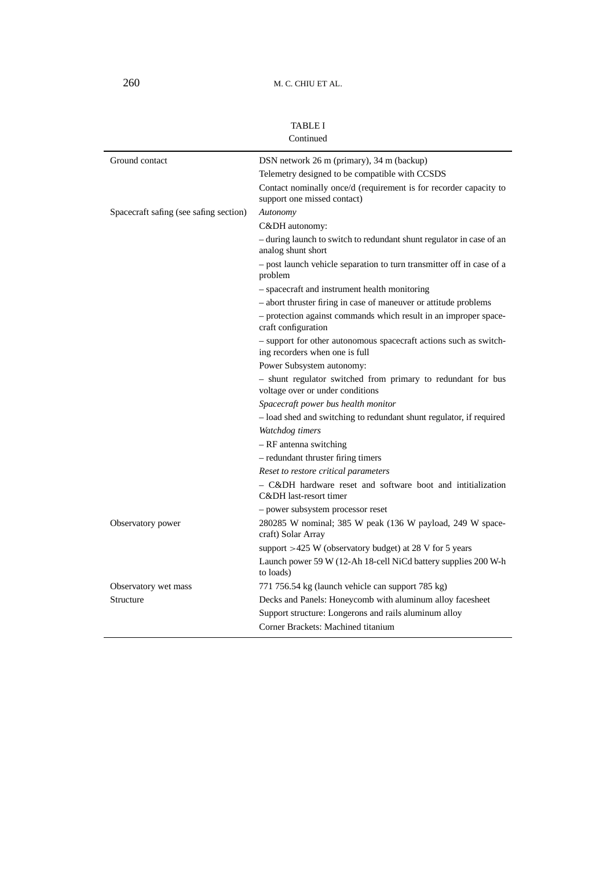TABLE I Continued

| Ground contact                         | DSN network 26 m (primary), 34 m (backup)                                                           |
|----------------------------------------|-----------------------------------------------------------------------------------------------------|
|                                        | Telemetry designed to be compatible with CCSDS                                                      |
|                                        | Contact nominally once/d (requirement is for recorder capacity to<br>support one missed contact)    |
| Spacecraft safing (see safing section) | Autonomy                                                                                            |
|                                        | C&DH autonomy:                                                                                      |
|                                        | - during launch to switch to redundant shunt regulator in case of an<br>analog shunt short          |
|                                        | - post launch vehicle separation to turn transmitter off in case of a<br>problem                    |
|                                        | - spacecraft and instrument health monitoring                                                       |
|                                        | - abort thruster firing in case of maneuver or attitude problems                                    |
|                                        | - protection against commands which result in an improper space-<br>craft configuration             |
|                                        | - support for other autonomous spacecraft actions such as switch-<br>ing recorders when one is full |
|                                        | Power Subsystem autonomy:                                                                           |
|                                        | - shunt regulator switched from primary to redundant for bus<br>voltage over or under conditions    |
|                                        | Spacecraft power bus health monitor                                                                 |
|                                        | - load shed and switching to redundant shunt regulator, if required                                 |
|                                        | Watchdog timers                                                                                     |
|                                        | $-$ RF antenna switching                                                                            |
|                                        | - redundant thruster firing timers                                                                  |
|                                        | Reset to restore critical parameters                                                                |
|                                        | - C&DH hardware reset and software boot and intitialization<br>C&DH last-resort timer               |
|                                        | - power subsystem processor reset                                                                   |
| Observatory power                      | 280285 W nominal; 385 W peak (136 W payload, 249 W space-<br>craft) Solar Array                     |
|                                        | support >425 W (observatory budget) at 28 V for 5 years                                             |
|                                        | Launch power 59 W (12-Ah 18-cell NiCd battery supplies 200 W-h<br>to loads)                         |
| Observatory wet mass                   | 771 756.54 kg (launch vehicle can support 785 kg)                                                   |
| Structure                              | Decks and Panels: Honeycomb with aluminum alloy facesheet                                           |
|                                        | Support structure: Longerons and rails aluminum alloy                                               |
|                                        | Corner Brackets: Machined titanium                                                                  |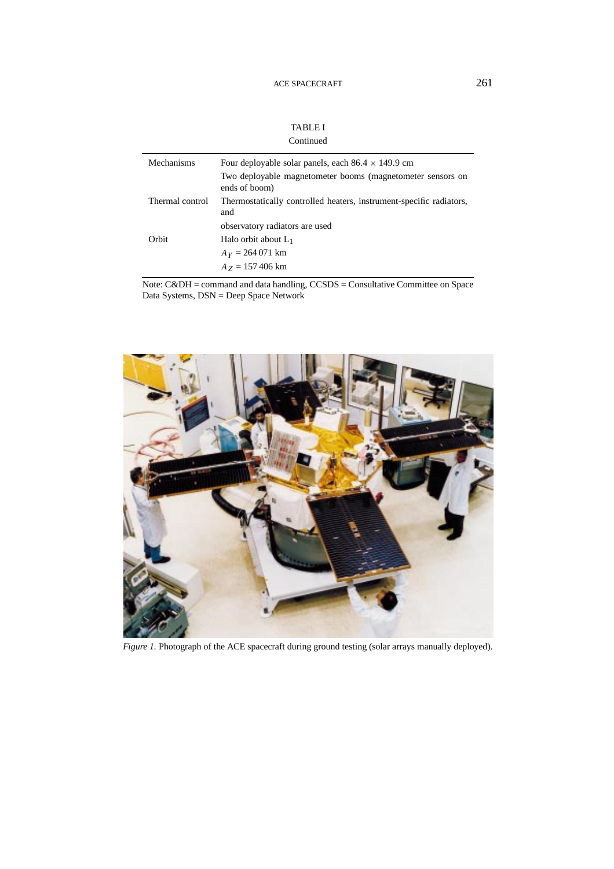TABLE I Continued

| Mechanisms      | Four deployable solar panels, each $86.4 \times 149.9$ cm                   |
|-----------------|-----------------------------------------------------------------------------|
|                 | Two deployable magnetometer booms (magnetometer sensors on<br>ends of boom) |
| Thermal control | Thermostatically controlled heaters, instrument-specific radiators,<br>and  |
|                 | observatory radiators are used                                              |
| Orbit           | Halo orbit about $L_1$                                                      |
|                 | $A_Y = 264071$ km                                                           |
|                 | $A_Z = 157406$ km                                                           |

Note: C&DH = command and data handling, CCSDS = Consultative Committee on Space Data Systems, DSN = Deep Space Network



*Figure 1.* Photograph of the ACE spacecraft during ground testing (solar arrays manually deployed).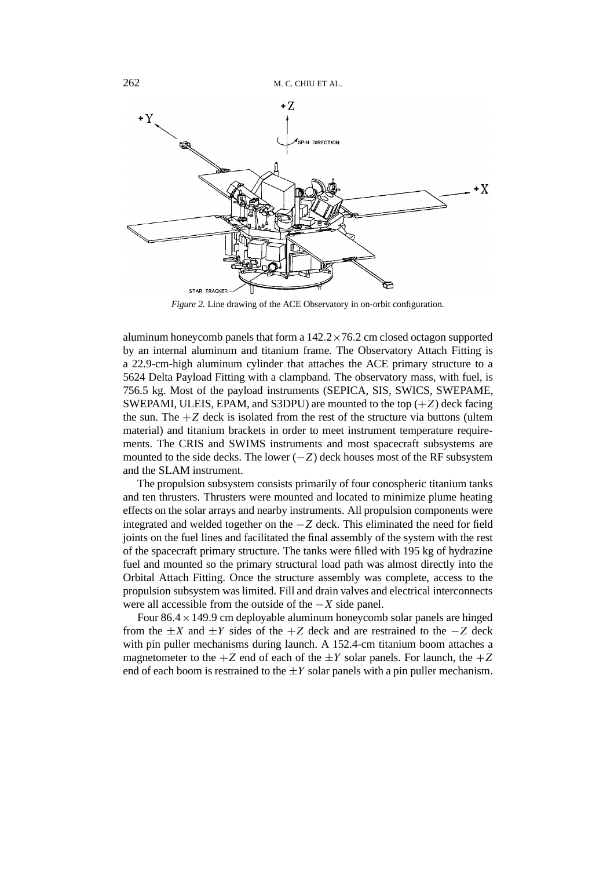

*Figure 2.* Line drawing of the ACE Observatory in on-orbit configuration.

aluminum honeycomb panels that form a 142*.*2×76*.*2 cm closed octagon supported by an internal aluminum and titanium frame. The Observatory Attach Fitting is a 22.9-cm-high aluminum cylinder that attaches the ACE primary structure to a 5624 Delta Payload Fitting with a clampband. The observatory mass, with fuel, is 756.5 kg. Most of the payload instruments (SEPICA, SIS, SWICS, SWEPAME, SWEPAMI, ULEIS, EPAM, and S3DPU) are mounted to the top  $(+Z)$  deck facing the sun. The  $+Z$  deck is isolated from the rest of the structure via buttons (ultem material) and titanium brackets in order to meet instrument temperature requirements. The CRIS and SWIMS instruments and most spacecraft subsystems are mounted to the side decks. The lower (−*Z*) deck houses most of the RF subsystem and the SLAM instrument.

The propulsion subsystem consists primarily of four conospheric titanium tanks and ten thrusters. Thrusters were mounted and located to minimize plume heating effects on the solar arrays and nearby instruments. All propulsion components were integrated and welded together on the −*Z* deck. This eliminated the need for field joints on the fuel lines and facilitated the final assembly of the system with the rest of the spacecraft primary structure. The tanks were filled with 195 kg of hydrazine fuel and mounted so the primary structural load path was almost directly into the Orbital Attach Fitting. Once the structure assembly was complete, access to the propulsion subsystem was limited. Fill and drain valves and electrical interconnects were all accessible from the outside of the −*X* side panel.

Four  $86.4 \times 149.9$  cm deployable aluminum honeycomb solar panels are hinged from the  $\pm X$  and  $\pm Y$  sides of the  $\pm Z$  deck and are restrained to the  $-Z$  deck with pin puller mechanisms during launch. A 152.4-cm titanium boom attaches a magnetometer to the  $+Z$  end of each of the  $\pm Y$  solar panels. For launch, the  $+Z$ end of each boom is restrained to the  $\pm Y$  solar panels with a pin puller mechanism.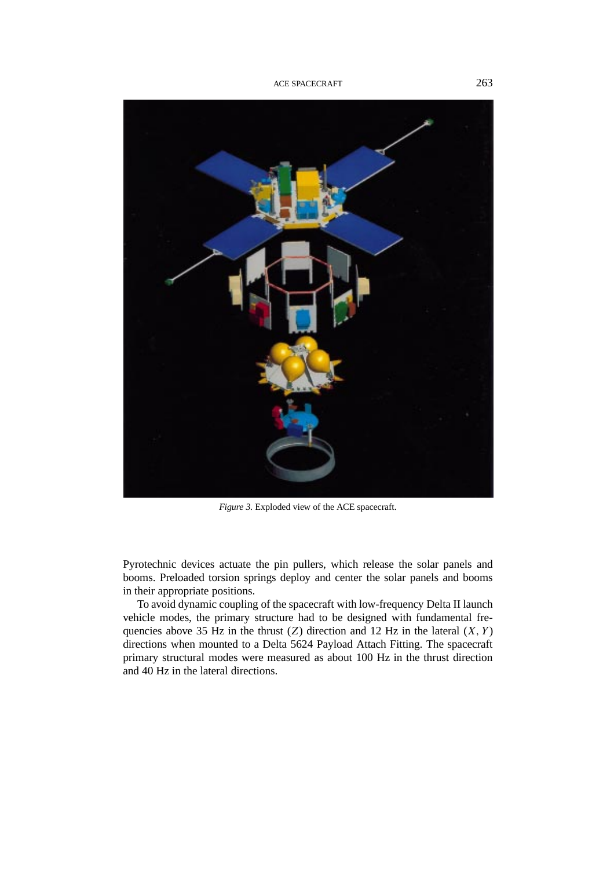

*Figure 3.* Exploded view of the ACE spacecraft.

Pyrotechnic devices actuate the pin pullers, which release the solar panels and booms. Preloaded torsion springs deploy and center the solar panels and booms in their appropriate positions.

To avoid dynamic coupling of the spacecraft with low-frequency Delta II launch vehicle modes, the primary structure had to be designed with fundamental frequencies above 35 Hz in the thrust  $(Z)$  direction and 12 Hz in the lateral  $(X, Y)$ directions when mounted to a Delta 5624 Payload Attach Fitting. The spacecraft primary structural modes were measured as about 100 Hz in the thrust direction and 40 Hz in the lateral directions.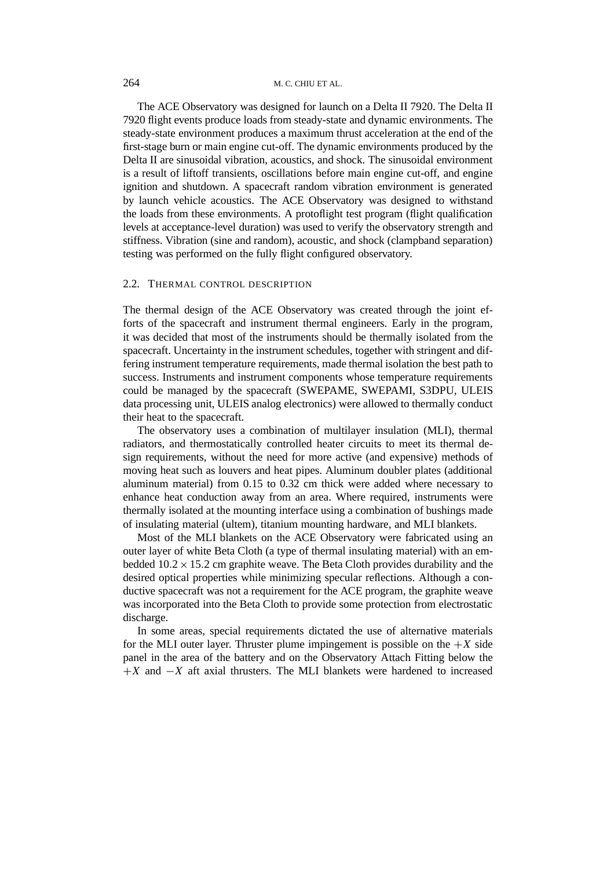The ACE Observatory was designed for launch on a Delta II 7920. The Delta II 7920 flight events produce loads from steady-state and dynamic environments. The steady-state environment produces a maximum thrust acceleration at the end of the first-stage burn or main engine cut-off. The dynamic environments produced by the Delta II are sinusoidal vibration, acoustics, and shock. The sinusoidal environment is a result of liftoff transients, oscillations before main engine cut-off, and engine ignition and shutdown. A spacecraft random vibration environment is generated by launch vehicle acoustics. The ACE Observatory was designed to withstand the loads from these environments. A protoflight test program (flight qualification levels at acceptance-level duration) was used to verify the observatory strength and stiffness. Vibration (sine and random), acoustic, and shock (clampband separation) testing was performed on the fully flight configured observatory.

## 2.2. THERMAL CONTROL DESCRIPTION

The thermal design of the ACE Observatory was created through the joint efforts of the spacecraft and instrument thermal engineers. Early in the program, it was decided that most of the instruments should be thermally isolated from the spacecraft. Uncertainty in the instrument schedules, together with stringent and differing instrument temperature requirements, made thermal isolation the best path to success. Instruments and instrument components whose temperature requirements could be managed by the spacecraft (SWEPAME, SWEPAMI, S3DPU, ULEIS data processing unit, ULEIS analog electronics) were allowed to thermally conduct their heat to the spacecraft.

The observatory uses a combination of multilayer insulation (MLI), thermal radiators, and thermostatically controlled heater circuits to meet its thermal design requirements, without the need for more active (and expensive) methods of moving heat such as louvers and heat pipes. Aluminum doubler plates (additional aluminum material) from 0.15 to 0.32 cm thick were added where necessary to enhance heat conduction away from an area. Where required, instruments were thermally isolated at the mounting interface using a combination of bushings made of insulating material (ultem), titanium mounting hardware, and MLI blankets.

Most of the MLI blankets on the ACE Observatory were fabricated using an outer layer of white Beta Cloth (a type of thermal insulating material) with an embedded  $10.2 \times 15.2$  cm graphite weave. The Beta Cloth provides durability and the desired optical properties while minimizing specular reflections. Although a conductive spacecraft was not a requirement for the ACE program, the graphite weave was incorporated into the Beta Cloth to provide some protection from electrostatic discharge.

In some areas, special requirements dictated the use of alternative materials for the MLI outer layer. Thruster plume impingement is possible on the  $+X$  side panel in the area of the battery and on the Observatory Attach Fitting below the +*X* and −*X* aft axial thrusters. The MLI blankets were hardened to increased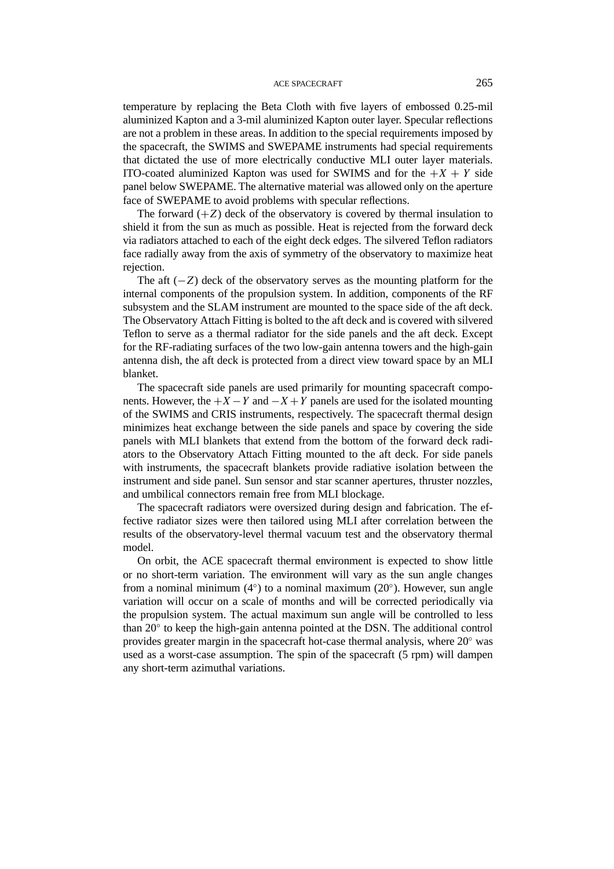temperature by replacing the Beta Cloth with five layers of embossed 0.25-mil aluminized Kapton and a 3-mil aluminized Kapton outer layer. Specular reflections are not a problem in these areas. In addition to the special requirements imposed by the spacecraft, the SWIMS and SWEPAME instruments had special requirements that dictated the use of more electrically conductive MLI outer layer materials. ITO-coated aluminized Kapton was used for SWIMS and for the  $+X + Y$  side panel below SWEPAME. The alternative material was allowed only on the aperture face of SWEPAME to avoid problems with specular reflections.

The forward  $(+Z)$  deck of the observatory is covered by thermal insulation to shield it from the sun as much as possible. Heat is rejected from the forward deck via radiators attached to each of the eight deck edges. The silvered Teflon radiators face radially away from the axis of symmetry of the observatory to maximize heat rejection.

The aft (−*Z*) deck of the observatory serves as the mounting platform for the internal components of the propulsion system. In addition, components of the RF subsystem and the SLAM instrument are mounted to the space side of the aft deck. The Observatory Attach Fitting is bolted to the aft deck and is covered with silvered Teflon to serve as a thermal radiator for the side panels and the aft deck. Except for the RF-radiating surfaces of the two low-gain antenna towers and the high-gain antenna dish, the aft deck is protected from a direct view toward space by an MLI blanket.

The spacecraft side panels are used primarily for mounting spacecraft components. However, the  $+X-Y$  and  $-X+Y$  panels are used for the isolated mounting of the SWIMS and CRIS instruments, respectively. The spacecraft thermal design minimizes heat exchange between the side panels and space by covering the side panels with MLI blankets that extend from the bottom of the forward deck radiators to the Observatory Attach Fitting mounted to the aft deck. For side panels with instruments, the spacecraft blankets provide radiative isolation between the instrument and side panel. Sun sensor and star scanner apertures, thruster nozzles, and umbilical connectors remain free from MLI blockage.

The spacecraft radiators were oversized during design and fabrication. The effective radiator sizes were then tailored using MLI after correlation between the results of the observatory-level thermal vacuum test and the observatory thermal model.

On orbit, the ACE spacecraft thermal environment is expected to show little or no short-term variation. The environment will vary as the sun angle changes from a nominal minimum  $(4°)$  to a nominal maximum  $(20°)$ . However, sun angle variation will occur on a scale of months and will be corrected periodically via the propulsion system. The actual maximum sun angle will be controlled to less than 20◦ to keep the high-gain antenna pointed at the DSN. The additional control provides greater margin in the spacecraft hot-case thermal analysis, where 20◦ was used as a worst-case assumption. The spin of the spacecraft (5 rpm) will dampen any short-term azimuthal variations.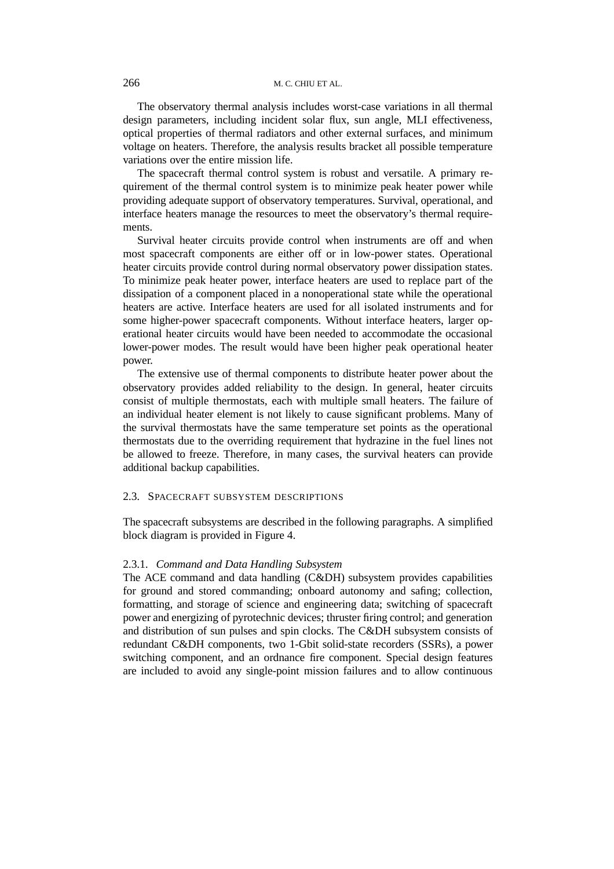The observatory thermal analysis includes worst-case variations in all thermal design parameters, including incident solar flux, sun angle, MLI effectiveness, optical properties of thermal radiators and other external surfaces, and minimum voltage on heaters. Therefore, the analysis results bracket all possible temperature variations over the entire mission life.

The spacecraft thermal control system is robust and versatile. A primary requirement of the thermal control system is to minimize peak heater power while providing adequate support of observatory temperatures. Survival, operational, and interface heaters manage the resources to meet the observatory's thermal requirements.

Survival heater circuits provide control when instruments are off and when most spacecraft components are either off or in low-power states. Operational heater circuits provide control during normal observatory power dissipation states. To minimize peak heater power, interface heaters are used to replace part of the dissipation of a component placed in a nonoperational state while the operational heaters are active. Interface heaters are used for all isolated instruments and for some higher-power spacecraft components. Without interface heaters, larger operational heater circuits would have been needed to accommodate the occasional lower-power modes. The result would have been higher peak operational heater power.

The extensive use of thermal components to distribute heater power about the observatory provides added reliability to the design. In general, heater circuits consist of multiple thermostats, each with multiple small heaters. The failure of an individual heater element is not likely to cause significant problems. Many of the survival thermostats have the same temperature set points as the operational thermostats due to the overriding requirement that hydrazine in the fuel lines not be allowed to freeze. Therefore, in many cases, the survival heaters can provide additional backup capabilities.

## 2.3. SPACECRAFT SUBSYSTEM DESCRIPTIONS

The spacecraft subsystems are described in the following paragraphs. A simplified block diagram is provided in Figure 4.

#### 2.3.1. *Command and Data Handling Subsystem*

The ACE command and data handling (C&DH) subsystem provides capabilities for ground and stored commanding; onboard autonomy and safing; collection, formatting, and storage of science and engineering data; switching of spacecraft power and energizing of pyrotechnic devices; thruster firing control; and generation and distribution of sun pulses and spin clocks. The C&DH subsystem consists of redundant C&DH components, two 1-Gbit solid-state recorders (SSRs), a power switching component, and an ordnance fire component. Special design features are included to avoid any single-point mission failures and to allow continuous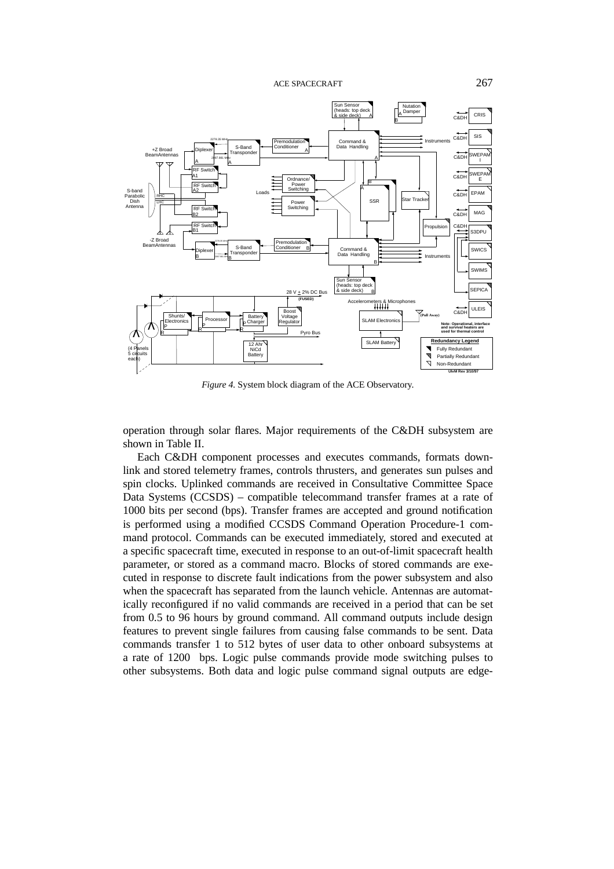

*Figure 4.* System block diagram of the ACE Observatory.

operation through solar flares. Major requirements of the C&DH subsystem are shown in Table II.

Each C&DH component processes and executes commands, formats downlink and stored telemetry frames, controls thrusters, and generates sun pulses and spin clocks. Uplinked commands are received in Consultative Committee Space Data Systems (CCSDS) – compatible telecommand transfer frames at a rate of 1000 bits per second (bps). Transfer frames are accepted and ground notification is performed using a modified CCSDS Command Operation Procedure-1 command protocol. Commands can be executed immediately, stored and executed at a specific spacecraft time, executed in response to an out-of-limit spacecraft health parameter, or stored as a command macro. Blocks of stored commands are executed in response to discrete fault indications from the power subsystem and also when the spacecraft has separated from the launch vehicle. Antennas are automatically reconfigured if no valid commands are received in a period that can be set from 0.5 to 96 hours by ground command. All command outputs include design features to prevent single failures from causing false commands to be sent. Data commands transfer 1 to 512 bytes of user data to other onboard subsystems at a rate of 1200 bps. Logic pulse commands provide mode switching pulses to other subsystems. Both data and logic pulse command signal outputs are edge-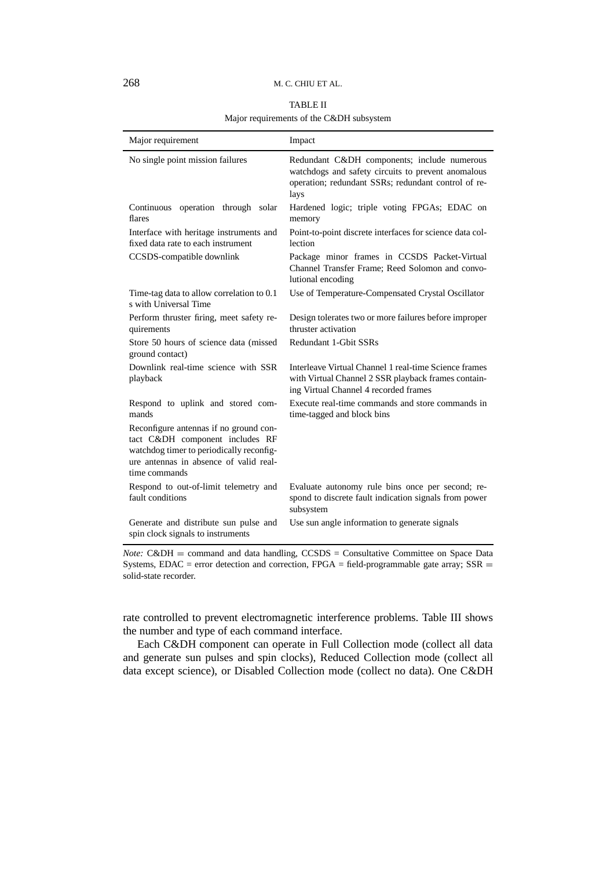#### TABLE II

Major requirements of the C&DH subsystem

| Major requirement                                                                                                                                                                | Impact                                                                                                                                                           |  |  |  |  |
|----------------------------------------------------------------------------------------------------------------------------------------------------------------------------------|------------------------------------------------------------------------------------------------------------------------------------------------------------------|--|--|--|--|
| No single point mission failures                                                                                                                                                 | Redundant C&DH components; include numerous<br>watchdogs and safety circuits to prevent anomalous<br>operation; redundant SSRs; redundant control of re-<br>lays |  |  |  |  |
| Continuous operation through solar<br>flares                                                                                                                                     | Hardened logic; triple voting FPGAs; EDAC on<br>memory                                                                                                           |  |  |  |  |
| Interface with heritage instruments and<br>fixed data rate to each instrument                                                                                                    | Point-to-point discrete interfaces for science data col-<br>lection                                                                                              |  |  |  |  |
| CCSDS-compatible downlink                                                                                                                                                        | Package minor frames in CCSDS Packet-Virtual<br>Channel Transfer Frame; Reed Solomon and convo-<br>lutional encoding                                             |  |  |  |  |
| Time-tag data to allow correlation to 0.1<br>s with Universal Time                                                                                                               | Use of Temperature-Compensated Crystal Oscillator                                                                                                                |  |  |  |  |
| Perform thruster firing, meet safety re-<br>quirements                                                                                                                           | Design tolerates two or more failures before improper<br>thruster activation                                                                                     |  |  |  |  |
| Store 50 hours of science data (missed<br>ground contact)                                                                                                                        | Redundant 1-Gbit SSRs                                                                                                                                            |  |  |  |  |
| Downlink real-time science with SSR<br>playback                                                                                                                                  | Interleave Virtual Channel 1 real-time Science frames<br>with Virtual Channel 2 SSR playback frames contain-<br>ing Virtual Channel 4 recorded frames            |  |  |  |  |
| Respond to uplink and stored com-<br>mands                                                                                                                                       | Execute real-time commands and store commands in<br>time-tagged and block bins                                                                                   |  |  |  |  |
| Reconfigure antennas if no ground con-<br>tact C&DH component includes RF<br>watchdog timer to periodically reconfig-<br>ure antennas in absence of valid real-<br>time commands |                                                                                                                                                                  |  |  |  |  |
| Respond to out-of-limit telemetry and<br>fault conditions                                                                                                                        | Evaluate autonomy rule bins once per second; re-<br>spond to discrete fault indication signals from power<br>subsystem                                           |  |  |  |  |
| Generate and distribute sun pulse and<br>spin clock signals to instruments                                                                                                       | Use sun angle information to generate signals                                                                                                                    |  |  |  |  |

*Note:* C&DH = command and data handling, CCSDS = Consultative Committee on Space Data Systems,  $EDAC = error detection and correction,  $FPGA = field-programmable gate array; SSR =$$ solid-state recorder.

rate controlled to prevent electromagnetic interference problems. Table III shows the number and type of each command interface.

Each C&DH component can operate in Full Collection mode (collect all data and generate sun pulses and spin clocks), Reduced Collection mode (collect all data except science), or Disabled Collection mode (collect no data). One C&DH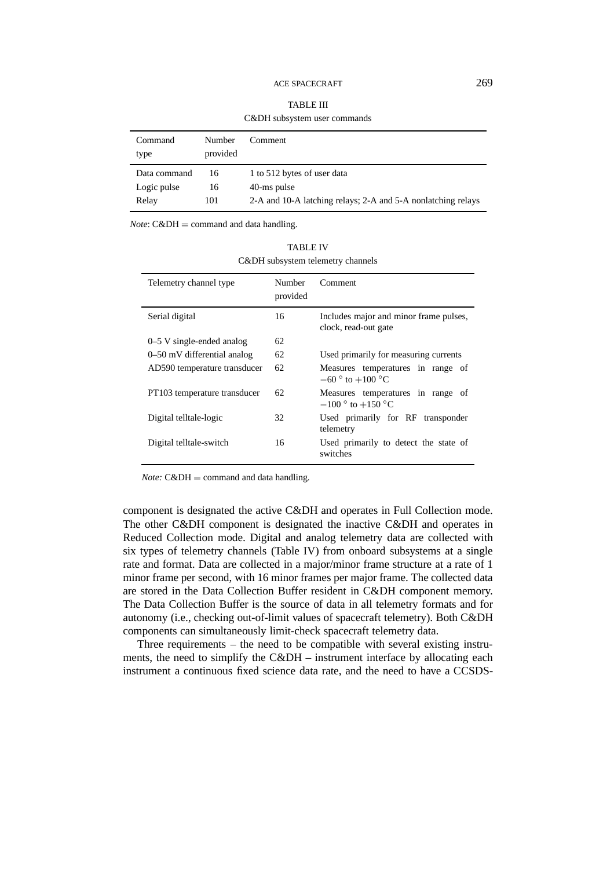| C&DH subsystem user commands |                    |                                                              |  |  |  |  |
|------------------------------|--------------------|--------------------------------------------------------------|--|--|--|--|
| Command<br>type              | Number<br>provided | Comment                                                      |  |  |  |  |
| Data command                 | 16                 | 1 to 512 bytes of user data                                  |  |  |  |  |
| Logic pulse                  | 16                 | 40-ms pulse                                                  |  |  |  |  |
| Relay                        | 101                | 2-A and 10-A latching relays; 2-A and 5-A nonlatching relays |  |  |  |  |

TABLE III

*Note*: C&DH = command and data handling.

| Telemetry channel type        | Number<br>provided | Comment                                                                 |
|-------------------------------|--------------------|-------------------------------------------------------------------------|
| Serial digital                | 16                 | Includes major and minor frame pulses,<br>clock, read-out gate          |
| $0-5$ V single-ended analog   | 62                 |                                                                         |
| $0-50$ mV differential analog | 62                 | Used primarily for measuring currents                                   |
| AD590 temperature transducer  | 62                 | Measures temperatures in range of<br>$-60^{\circ}$ to $+100^{\circ}$ C  |
| PT103 temperature transducer  | 62                 | Measures temperatures in range of<br>$-100^{\circ}$ to $+150^{\circ}$ C |
| Digital telltale-logic        | 32                 | Used primarily for RF transponder<br>telemetry                          |
| Digital telltale-switch       | 16                 | Used primarily to detect the state of<br>switches                       |

TABLE IV C&DH subsystem telemetry channels

*Note:*  $C\&DH =$  command and data handling.

component is designated the active C&DH and operates in Full Collection mode. The other C&DH component is designated the inactive C&DH and operates in Reduced Collection mode. Digital and analog telemetry data are collected with six types of telemetry channels (Table IV) from onboard subsystems at a single rate and format. Data are collected in a major/minor frame structure at a rate of 1 minor frame per second, with 16 minor frames per major frame. The collected data are stored in the Data Collection Buffer resident in C&DH component memory. The Data Collection Buffer is the source of data in all telemetry formats and for autonomy (i.e., checking out-of-limit values of spacecraft telemetry). Both C&DH components can simultaneously limit-check spacecraft telemetry data.

Three requirements – the need to be compatible with several existing instruments, the need to simplify the C&DH – instrument interface by allocating each instrument a continuous fixed science data rate, and the need to have a CCSDS-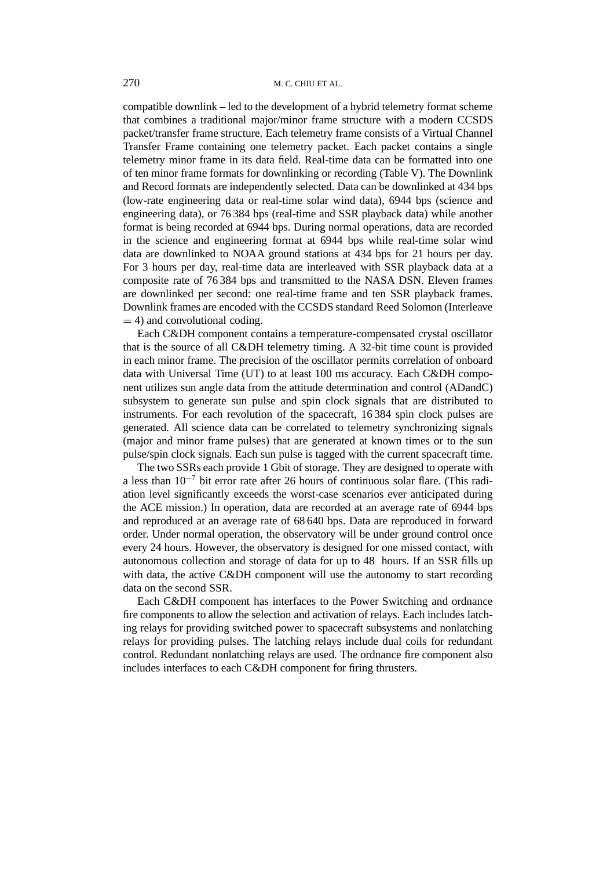compatible downlink – led to the development of a hybrid telemetry format scheme that combines a traditional major/minor frame structure with a modern CCSDS packet/transfer frame structure. Each telemetry frame consists of a Virtual Channel Transfer Frame containing one telemetry packet. Each packet contains a single telemetry minor frame in its data field. Real-time data can be formatted into one of ten minor frame formats for downlinking or recording (Table V). The Downlink and Record formats are independently selected. Data can be downlinked at 434 bps (low-rate engineering data or real-time solar wind data), 6944 bps (science and engineering data), or 76 384 bps (real-time and SSR playback data) while another format is being recorded at 6944 bps. During normal operations, data are recorded in the science and engineering format at 6944 bps while real-time solar wind data are downlinked to NOAA ground stations at 434 bps for 21 hours per day. For 3 hours per day, real-time data are interleaved with SSR playback data at a composite rate of 76 384 bps and transmitted to the NASA DSN. Eleven frames are downlinked per second: one real-time frame and ten SSR playback frames. Downlink frames are encoded with the CCSDS standard Reed Solomon (Interleave  $=$  4) and convolutional coding.

Each C&DH component contains a temperature-compensated crystal oscillator that is the source of all C&DH telemetry timing. A 32-bit time count is provided in each minor frame. The precision of the oscillator permits correlation of onboard data with Universal Time (UT) to at least 100 ms accuracy. Each C&DH component utilizes sun angle data from the attitude determination and control (ADandC) subsystem to generate sun pulse and spin clock signals that are distributed to instruments. For each revolution of the spacecraft, 16 384 spin clock pulses are generated. All science data can be correlated to telemetry synchronizing signals (major and minor frame pulses) that are generated at known times or to the sun pulse/spin clock signals. Each sun pulse is tagged with the current spacecraft time.

The two SSRs each provide 1 Gbit of storage. They are designed to operate with a less than  $10^{-7}$  bit error rate after 26 hours of continuous solar flare. (This radiation level significantly exceeds the worst-case scenarios ever anticipated during the ACE mission.) In operation, data are recorded at an average rate of 6944 bps and reproduced at an average rate of 68 640 bps. Data are reproduced in forward order. Under normal operation, the observatory will be under ground control once every 24 hours. However, the observatory is designed for one missed contact, with autonomous collection and storage of data for up to 48 hours. If an SSR fills up with data, the active C&DH component will use the autonomy to start recording data on the second SSR.

Each C&DH component has interfaces to the Power Switching and ordnance fire components to allow the selection and activation of relays. Each includes latching relays for providing switched power to spacecraft subsystems and nonlatching relays for providing pulses. The latching relays include dual coils for redundant control. Redundant nonlatching relays are used. The ordnance fire component also includes interfaces to each C&DH component for firing thrusters.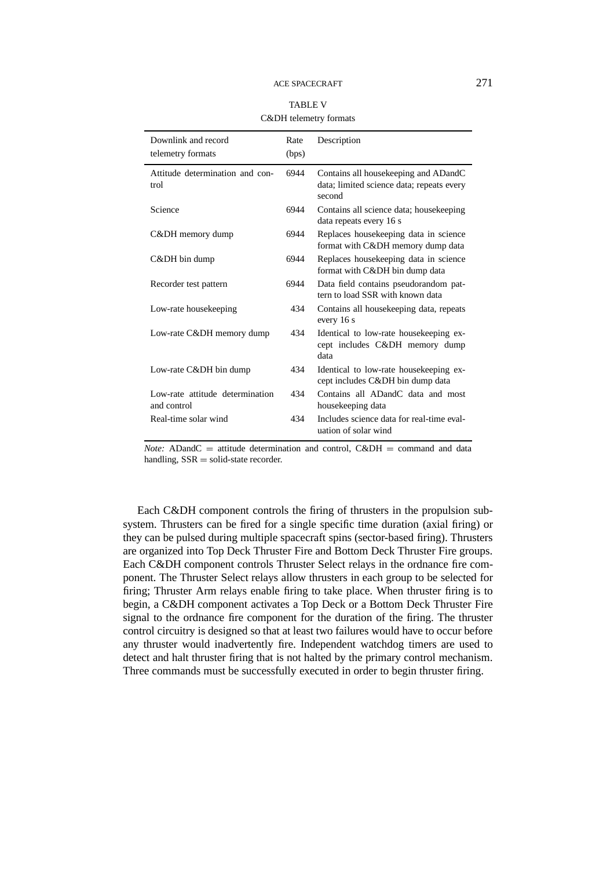| .RI |
|-----|
|-----|

| Downlink and record<br>telemetry formats       | Rate<br>(bps) | Description                                                                                 |
|------------------------------------------------|---------------|---------------------------------------------------------------------------------------------|
| Attitude determination and con-<br>trol        | 6944          | Contains all housekeeping and ADandC<br>data; limited science data; repeats every<br>second |
| Science                                        | 6944          | Contains all science data; housekeeping<br>data repeats every 16 s                          |
| C&DH memory dump                               | 6944          | Replaces house keeping data in science<br>format with C&DH memory dump data                 |
| C&DH bin dump                                  | 6944          | Replaces house keeping data in science<br>format with C&DH bin dump data                    |
| Recorder test pattern                          | 6944          | Data field contains pseudorandom pat-<br>tern to load SSR with known data                   |
| Low-rate housekeeping                          | 434           | Contains all housekeeping data, repeats<br>every 16 s                                       |
| Low-rate C&DH memory dump                      | 434           | Identical to low-rate housekeeping ex-<br>cept includes C&DH memory dump<br>data            |
| Low-rate C&DH bin dump                         | 434           | Identical to low-rate house keeping ex-<br>cept includes C&DH bin dump data                 |
| Low-rate attitude determination<br>and control | 434           | Contains all ADandC data and most<br>housekeeping data                                      |
| Real-time solar wind                           | 434           | Includes science data for real-time eval-<br>uation of solar wind                           |

C&DH telemetry formats

Each C&DH component controls the firing of thrusters in the propulsion subsystem. Thrusters can be fired for a single specific time duration (axial firing) or they can be pulsed during multiple spacecraft spins (sector-based firing). Thrusters are organized into Top Deck Thruster Fire and Bottom Deck Thruster Fire groups. Each C&DH component controls Thruster Select relays in the ordnance fire component. The Thruster Select relays allow thrusters in each group to be selected for firing; Thruster Arm relays enable firing to take place. When thruster firing is to begin, a C&DH component activates a Top Deck or a Bottom Deck Thruster Fire signal to the ordnance fire component for the duration of the firing. The thruster control circuitry is designed so that at least two failures would have to occur before any thruster would inadvertently fire. Independent watchdog timers are used to detect and halt thruster firing that is not halted by the primary control mechanism. Three commands must be successfully executed in order to begin thruster firing.

*Note:* ADandC = attitude determination and control,  $C\&DH =$  command and data handling,  $SSR = solid-state recorder$ .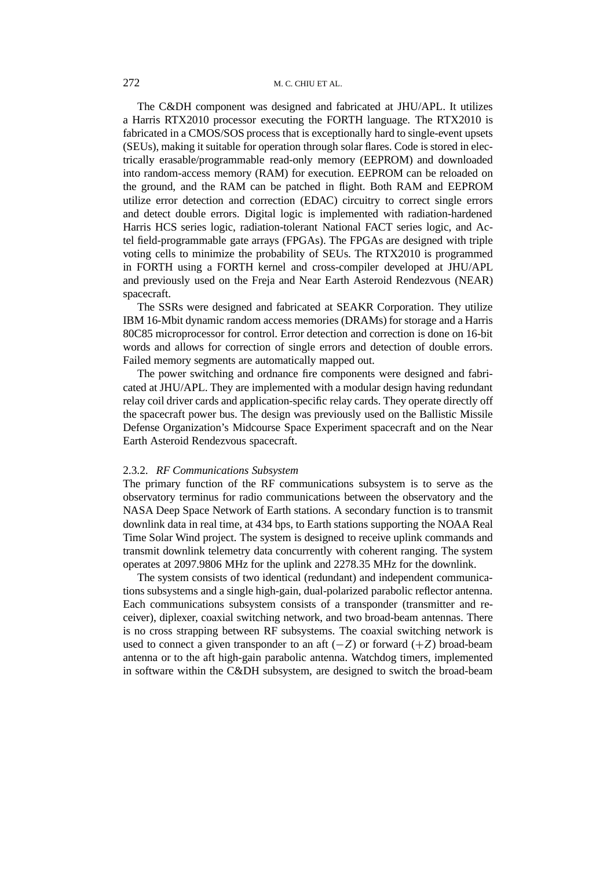The C&DH component was designed and fabricated at JHU/APL. It utilizes a Harris RTX2010 processor executing the FORTH language. The RTX2010 is fabricated in a CMOS/SOS process that is exceptionally hard to single-event upsets (SEUs), making it suitable for operation through solar flares. Code is stored in electrically erasable/programmable read-only memory (EEPROM) and downloaded into random-access memory (RAM) for execution. EEPROM can be reloaded on the ground, and the RAM can be patched in flight. Both RAM and EEPROM utilize error detection and correction (EDAC) circuitry to correct single errors and detect double errors. Digital logic is implemented with radiation-hardened Harris HCS series logic, radiation-tolerant National FACT series logic, and Actel field-programmable gate arrays (FPGAs). The FPGAs are designed with triple voting cells to minimize the probability of SEUs. The RTX2010 is programmed in FORTH using a FORTH kernel and cross-compiler developed at JHU/APL and previously used on the Freja and Near Earth Asteroid Rendezvous (NEAR) spacecraft.

The SSRs were designed and fabricated at SEAKR Corporation. They utilize IBM 16-Mbit dynamic random access memories (DRAMs) for storage and a Harris 80C85 microprocessor for control. Error detection and correction is done on 16-bit words and allows for correction of single errors and detection of double errors. Failed memory segments are automatically mapped out.

The power switching and ordnance fire components were designed and fabricated at JHU/APL. They are implemented with a modular design having redundant relay coil driver cards and application-specific relay cards. They operate directly off the spacecraft power bus. The design was previously used on the Ballistic Missile Defense Organization's Midcourse Space Experiment spacecraft and on the Near Earth Asteroid Rendezvous spacecraft.

### 2.3.2. *RF Communications Subsystem*

The primary function of the RF communications subsystem is to serve as the observatory terminus for radio communications between the observatory and the NASA Deep Space Network of Earth stations. A secondary function is to transmit downlink data in real time, at 434 bps, to Earth stations supporting the NOAA Real Time Solar Wind project. The system is designed to receive uplink commands and transmit downlink telemetry data concurrently with coherent ranging. The system operates at 2097.9806 MHz for the uplink and 2278.35 MHz for the downlink.

The system consists of two identical (redundant) and independent communications subsystems and a single high-gain, dual-polarized parabolic reflector antenna. Each communications subsystem consists of a transponder (transmitter and receiver), diplexer, coaxial switching network, and two broad-beam antennas. There is no cross strapping between RF subsystems. The coaxial switching network is used to connect a given transponder to an aft (−*Z*) or forward (+*Z*) broad-beam antenna or to the aft high-gain parabolic antenna. Watchdog timers, implemented in software within the C&DH subsystem, are designed to switch the broad-beam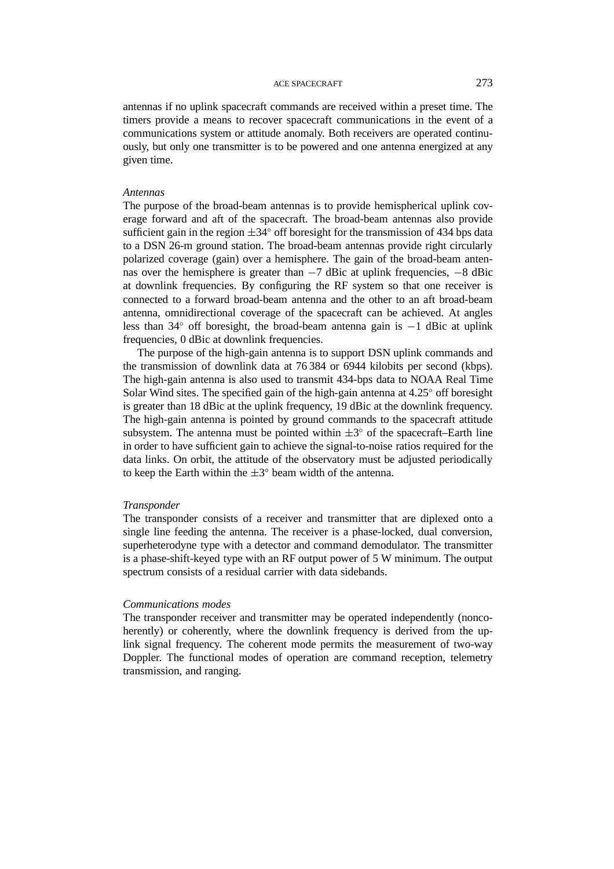antennas if no uplink spacecraft commands are received within a preset time. The timers provide a means to recover spacecraft communications in the event of a communications system or attitude anomaly. Both receivers are operated continuously, but only one transmitter is to be powered and one antenna energized at any given time.

### *Antennas*

The purpose of the broad-beam antennas is to provide hemispherical uplink coverage forward and aft of the spacecraft. The broad-beam antennas also provide sufficient gain in the region  $\pm 34^\circ$  off boresight for the transmission of 434 bps data to a DSN 26-m ground station. The broad-beam antennas provide right circularly polarized coverage (gain) over a hemisphere. The gain of the broad-beam antennas over the hemisphere is greater than  $-7$  dBic at uplink frequencies,  $-8$  dBic at downlink frequencies. By configuring the RF system so that one receiver is connected to a forward broad-beam antenna and the other to an aft broad-beam antenna, omnidirectional coverage of the spacecraft can be achieved. At angles less than 34◦ off boresight, the broad-beam antenna gain is −1 dBic at uplink frequencies, 0 dBic at downlink frequencies.

The purpose of the high-gain antenna is to support DSN uplink commands and the transmission of downlink data at 76 384 or 6944 kilobits per second (kbps). The high-gain antenna is also used to transmit 434-bps data to NOAA Real Time Solar Wind sites. The specified gain of the high-gain antenna at 4.25◦ off boresight is greater than 18 dBic at the uplink frequency, 19 dBic at the downlink frequency. The high-gain antenna is pointed by ground commands to the spacecraft attitude subsystem. The antenna must be pointed within  $\pm 3^{\circ}$  of the spacecraft–Earth line in order to have sufficient gain to achieve the signal-to-noise ratios required for the data links. On orbit, the attitude of the observatory must be adjusted periodically to keep the Earth within the  $\pm 3^\circ$  beam width of the antenna.

#### *Transponder*

The transponder consists of a receiver and transmitter that are diplexed onto a single line feeding the antenna. The receiver is a phase-locked, dual conversion, superheterodyne type with a detector and command demodulator. The transmitter is a phase-shift-keyed type with an RF output power of 5 W minimum. The output spectrum consists of a residual carrier with data sidebands.

### *Communications modes*

The transponder receiver and transmitter may be operated independently (noncoherently) or coherently, where the downlink frequency is derived from the uplink signal frequency. The coherent mode permits the measurement of two-way Doppler. The functional modes of operation are command reception, telemetry transmission, and ranging.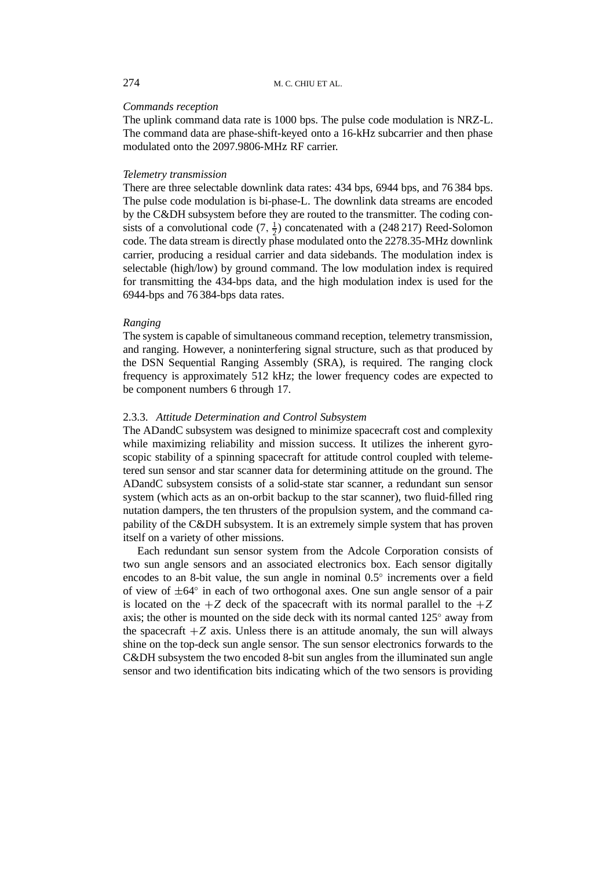### *Commands reception*

The uplink command data rate is 1000 bps. The pulse code modulation is NRZ-L. The command data are phase-shift-keyed onto a 16-kHz subcarrier and then phase modulated onto the 2097.9806-MHz RF carrier.

### *Telemetry transmission*

There are three selectable downlink data rates: 434 bps, 6944 bps, and 76 384 bps. The pulse code modulation is bi-phase-L. The downlink data streams are encoded by the C&DH subsystem before they are routed to the transmitter. The coding consists of a convolutional code  $(7, \frac{1}{2})$  concatenated with a (248 217) Reed-Solomon code. The data stream is directly phase modulated onto the 2278.35-MHz downlink carrier, producing a residual carrier and data sidebands. The modulation index is selectable (high/low) by ground command. The low modulation index is required for transmitting the 434-bps data, and the high modulation index is used for the 6944-bps and 76 384-bps data rates.

#### *Ranging*

The system is capable of simultaneous command reception, telemetry transmission, and ranging. However, a noninterfering signal structure, such as that produced by the DSN Sequential Ranging Assembly (SRA), is required. The ranging clock frequency is approximately 512 kHz; the lower frequency codes are expected to be component numbers 6 through 17.

## 2.3.3. *Attitude Determination and Control Subsystem*

The ADandC subsystem was designed to minimize spacecraft cost and complexity while maximizing reliability and mission success. It utilizes the inherent gyroscopic stability of a spinning spacecraft for attitude control coupled with telemetered sun sensor and star scanner data for determining attitude on the ground. The ADandC subsystem consists of a solid-state star scanner, a redundant sun sensor system (which acts as an on-orbit backup to the star scanner), two fluid-filled ring nutation dampers, the ten thrusters of the propulsion system, and the command capability of the C&DH subsystem. It is an extremely simple system that has proven itself on a variety of other missions.

Each redundant sun sensor system from the Adcole Corporation consists of two sun angle sensors and an associated electronics box. Each sensor digitally encodes to an 8-bit value, the sun angle in nominal 0.5◦ increments over a field of view of  $\pm 64^\circ$  in each of two orthogonal axes. One sun angle sensor of a pair is located on the  $+Z$  deck of the spacecraft with its normal parallel to the  $+Z$ axis; the other is mounted on the side deck with its normal canted 125◦ away from the spacecraft  $+Z$  axis. Unless there is an attitude anomaly, the sun will always shine on the top-deck sun angle sensor. The sun sensor electronics forwards to the C&DH subsystem the two encoded 8-bit sun angles from the illuminated sun angle sensor and two identification bits indicating which of the two sensors is providing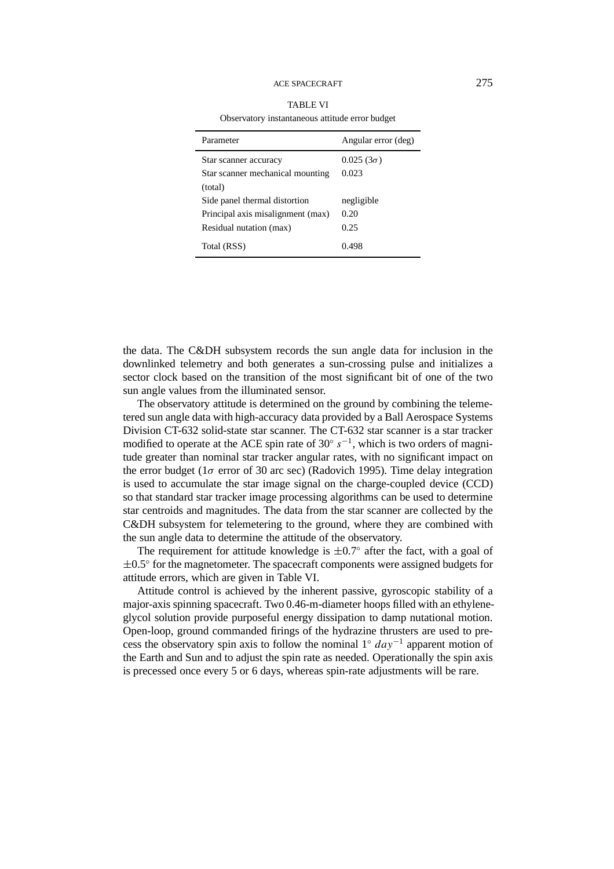| ABL. |  |
|------|--|
|------|--|

Observatory instantaneous attitude error budget

| Parameter                         | Angular error (deg) |
|-----------------------------------|---------------------|
| Star scanner accuracy             | $0.025(3\sigma)$    |
| Star scanner mechanical mounting  | 0.023               |
| (total)                           |                     |
| Side panel thermal distortion     | negligible          |
| Principal axis misalignment (max) | 0.20                |
| Residual nutation (max)           | 0.25                |
| Total (RSS)                       | 0.498               |

the data. The C&DH subsystem records the sun angle data for inclusion in the downlinked telemetry and both generates a sun-crossing pulse and initializes a sector clock based on the transition of the most significant bit of one of the two sun angle values from the illuminated sensor.

The observatory attitude is determined on the ground by combining the telemetered sun angle data with high-accuracy data provided by a Ball Aerospace Systems Division CT-632 solid-state star scanner. The CT-632 star scanner is a star tracker modified to operate at the ACE spin rate of 30◦ *s*−1, which is two orders of magnitude greater than nominal star tracker angular rates, with no significant impact on the error budget (1*σ* error of 30 arc sec) (Radovich 1995). Time delay integration is used to accumulate the star image signal on the charge-coupled device (CCD) so that standard star tracker image processing algorithms can be used to determine star centroids and magnitudes. The data from the star scanner are collected by the C&DH subsystem for telemetering to the ground, where they are combined with the sun angle data to determine the attitude of the observatory.

The requirement for attitude knowledge is  $\pm 0.7^\circ$  after the fact, with a goal of  $\pm 0.5^{\circ}$  for the magnetometer. The spacecraft components were assigned budgets for attitude errors, which are given in Table VI.

Attitude control is achieved by the inherent passive, gyroscopic stability of a major-axis spinning spacecraft. Two 0.46-m-diameter hoops filled with an ethyleneglycol solution provide purposeful energy dissipation to damp nutational motion. Open-loop, ground commanded firings of the hydrazine thrusters are used to precess the observatory spin axis to follow the nominal 1◦ *day*−<sup>1</sup> apparent motion of the Earth and Sun and to adjust the spin rate as needed. Operationally the spin axis is precessed once every 5 or 6 days, whereas spin-rate adjustments will be rare.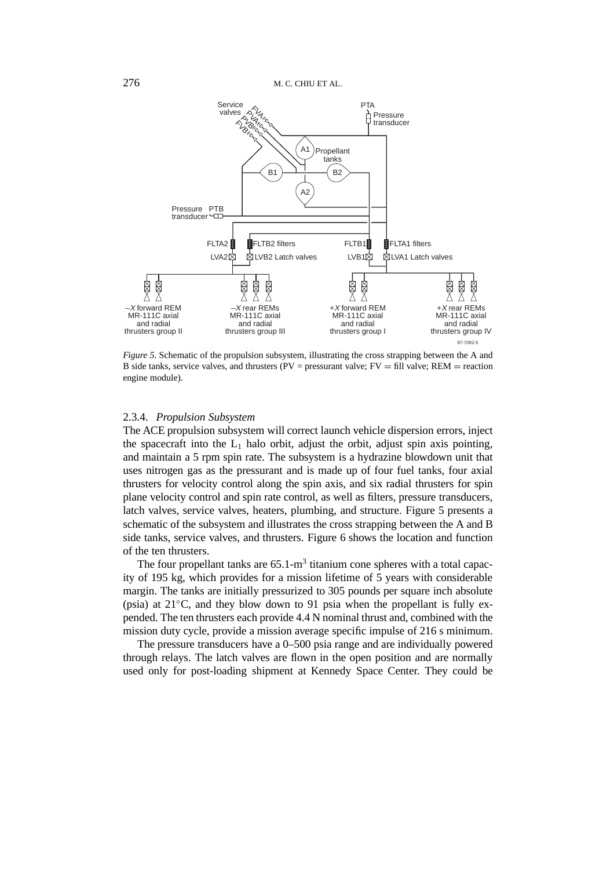

*Figure 5.* Schematic of the propulsion subsystem, illustrating the cross strapping between the A and B side tanks, service valves, and thrusters ( $PV = pressure$  pressurant valve;  $FV = fill$  valve;  $REM = reaction$ engine module).

### 2.3.4. *Propulsion Subsystem*

The ACE propulsion subsystem will correct launch vehicle dispersion errors, inject the spacecraft into the  $L_1$  halo orbit, adjust the orbit, adjust spin axis pointing, and maintain a 5 rpm spin rate. The subsystem is a hydrazine blowdown unit that uses nitrogen gas as the pressurant and is made up of four fuel tanks, four axial thrusters for velocity control along the spin axis, and six radial thrusters for spin plane velocity control and spin rate control, as well as filters, pressure transducers, latch valves, service valves, heaters, plumbing, and structure. Figure 5 presents a schematic of the subsystem and illustrates the cross strapping between the A and B side tanks, service valves, and thrusters. Figure 6 shows the location and function of the ten thrusters.

The four propellant tanks are  $65.1 \text{ m}^3$  titanium cone spheres with a total capacity of 195 kg, which provides for a mission lifetime of 5 years with considerable margin. The tanks are initially pressurized to 305 pounds per square inch absolute (psia) at 21◦C, and they blow down to 91 psia when the propellant is fully expended. The ten thrusters each provide 4.4 N nominal thrust and, combined with the mission duty cycle, provide a mission average specific impulse of 216 s minimum.

The pressure transducers have a 0–500 psia range and are individually powered through relays. The latch valves are flown in the open position and are normally used only for post-loading shipment at Kennedy Space Center. They could be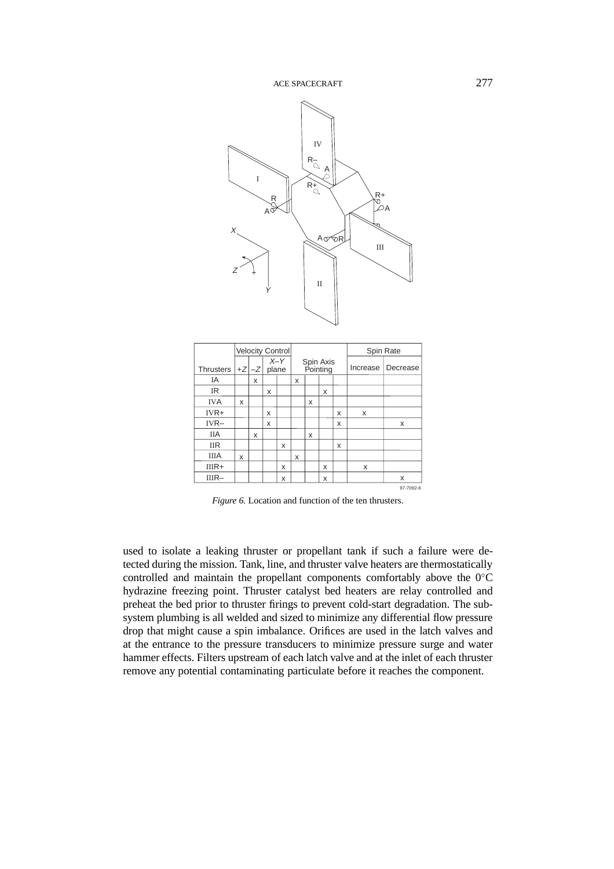

|             | <b>Velocity Control</b> |         |   |                |                       |   |   | Spin Rate |          |           |
|-------------|-------------------------|---------|---|----------------|-----------------------|---|---|-----------|----------|-----------|
| Thrusters   |                         | $+Z$ -Z |   | $X-Y$<br>plane | Spin Axis<br>Pointing |   |   |           | Increase | Decrease  |
| IA          |                         | X       |   |                | X                     |   |   |           |          |           |
| IR          |                         |         | x |                |                       |   | x |           |          |           |
| <b>IVA</b>  | x                       |         |   |                |                       | x |   |           |          |           |
| $IVR+$      |                         |         | x |                |                       |   |   | x         | X        |           |
| $IVR-$      |                         |         | x |                |                       |   |   | x         |          | X         |
| <b>IIA</b>  |                         | x       |   |                |                       | x |   |           |          |           |
| <b>IIR</b>  |                         |         |   | X              |                       |   |   | x         |          |           |
| <b>IIIA</b> | x                       |         |   |                | X                     |   |   |           |          |           |
| $IIIR+$     |                         |         |   | x              |                       |   | x |           | X        |           |
| $IIIR-$     |                         |         |   | X              |                       |   | X |           |          | x         |
|             |                         |         |   |                |                       |   |   |           |          | 97-7092-6 |

*Figure 6.* Location and function of the ten thrusters.

used to isolate a leaking thruster or propellant tank if such a failure were detected during the mission. Tank, line, and thruster valve heaters are thermostatically controlled and maintain the propellant components comfortably above the 0◦C hydrazine freezing point. Thruster catalyst bed heaters are relay controlled and preheat the bed prior to thruster firings to prevent cold-start degradation. The subsystem plumbing is all welded and sized to minimize any differential flow pressure drop that might cause a spin imbalance. Orifices are used in the latch valves and at the entrance to the pressure transducers to minimize pressure surge and water hammer effects. Filters upstream of each latch valve and at the inlet of each thruster remove any potential contaminating particulate before it reaches the component.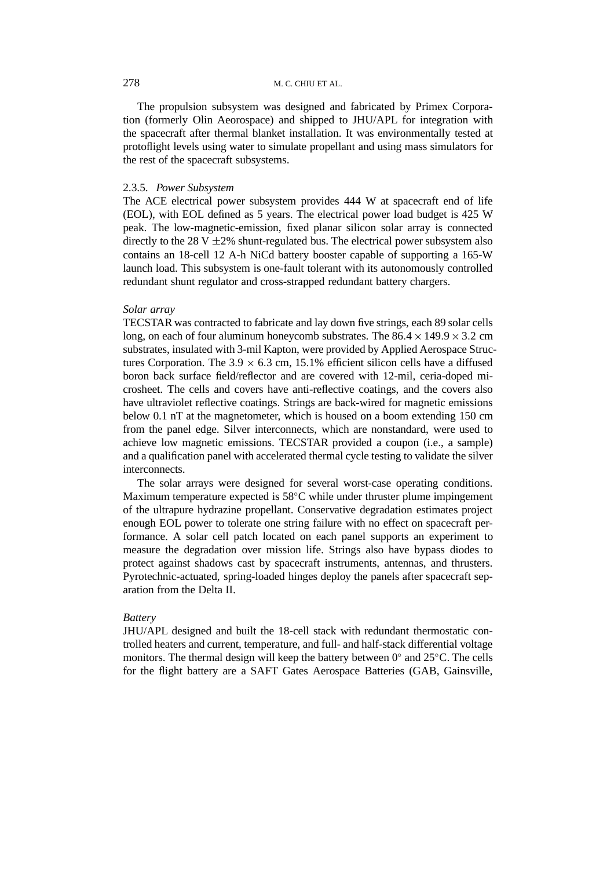The propulsion subsystem was designed and fabricated by Primex Corporation (formerly Olin Aeorospace) and shipped to JHU/APL for integration with the spacecraft after thermal blanket installation. It was environmentally tested at protoflight levels using water to simulate propellant and using mass simulators for the rest of the spacecraft subsystems.

#### 2.3.5. *Power Subsystem*

The ACE electrical power subsystem provides 444 W at spacecraft end of life (EOL), with EOL defined as 5 years. The electrical power load budget is 425 W peak. The low-magnetic-emission, fixed planar silicon solar array is connected directly to the 28 V  $\pm$ 2% shunt-regulated bus. The electrical power subsystem also contains an 18-cell 12 A-h NiCd battery booster capable of supporting a 165-W launch load. This subsystem is one-fault tolerant with its autonomously controlled redundant shunt regulator and cross-strapped redundant battery chargers.

## *Solar array*

TECSTAR was contracted to fabricate and lay down five strings, each 89 solar cells long, on each of four aluminum honeycomb substrates. The  $86.4 \times 149.9 \times 3.2$  cm substrates, insulated with 3-mil Kapton, were provided by Applied Aerospace Structures Corporation. The  $3.9 \times 6.3$  cm,  $15.1\%$  efficient silicon cells have a diffused boron back surface field/reflector and are covered with 12-mil, ceria-doped microsheet. The cells and covers have anti-reflective coatings, and the covers also have ultraviolet reflective coatings. Strings are back-wired for magnetic emissions below 0.1 nT at the magnetometer, which is housed on a boom extending 150 cm from the panel edge. Silver interconnects, which are nonstandard, were used to achieve low magnetic emissions. TECSTAR provided a coupon (i.e., a sample) and a qualification panel with accelerated thermal cycle testing to validate the silver interconnects.

The solar arrays were designed for several worst-case operating conditions. Maximum temperature expected is 58◦C while under thruster plume impingement of the ultrapure hydrazine propellant. Conservative degradation estimates project enough EOL power to tolerate one string failure with no effect on spacecraft performance. A solar cell patch located on each panel supports an experiment to measure the degradation over mission life. Strings also have bypass diodes to protect against shadows cast by spacecraft instruments, antennas, and thrusters. Pyrotechnic-actuated, spring-loaded hinges deploy the panels after spacecraft separation from the Delta II.

### *Battery*

JHU/APL designed and built the 18-cell stack with redundant thermostatic controlled heaters and current, temperature, and full- and half-stack differential voltage monitors. The thermal design will keep the battery between  $0°$  and  $25°C$ . The cells for the flight battery are a SAFT Gates Aerospace Batteries (GAB, Gainsville,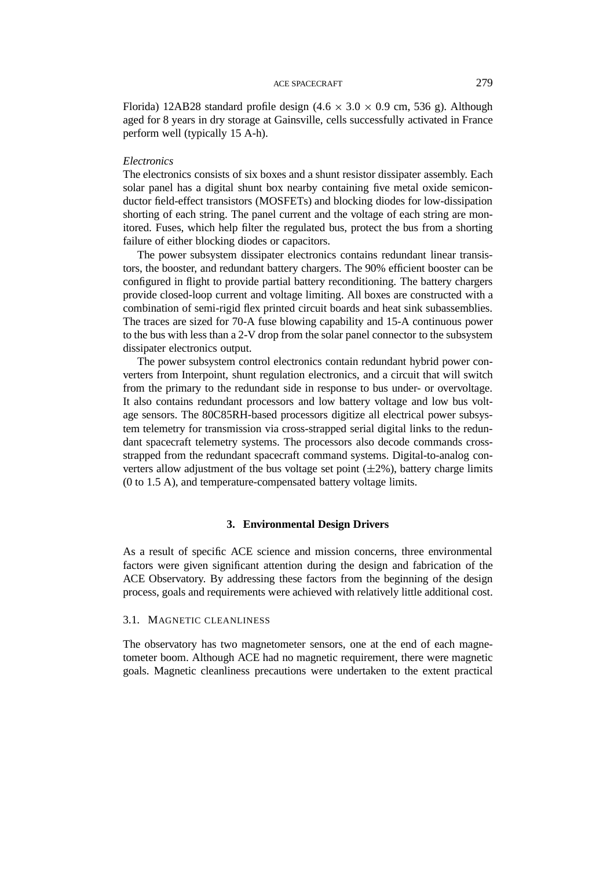Florida) 12AB28 standard profile design  $(4.6 \times 3.0 \times 0.9 \text{ cm}, 536 \text{ g})$ . Although aged for 8 years in dry storage at Gainsville, cells successfully activated in France perform well (typically 15 A-h).

#### *Electronics*

The electronics consists of six boxes and a shunt resistor dissipater assembly. Each solar panel has a digital shunt box nearby containing five metal oxide semiconductor field-effect transistors (MOSFETs) and blocking diodes for low-dissipation shorting of each string. The panel current and the voltage of each string are monitored. Fuses, which help filter the regulated bus, protect the bus from a shorting failure of either blocking diodes or capacitors.

The power subsystem dissipater electronics contains redundant linear transistors, the booster, and redundant battery chargers. The 90% efficient booster can be configured in flight to provide partial battery reconditioning. The battery chargers provide closed-loop current and voltage limiting. All boxes are constructed with a combination of semi-rigid flex printed circuit boards and heat sink subassemblies. The traces are sized for 70-A fuse blowing capability and 15-A continuous power to the bus with less than a 2-V drop from the solar panel connector to the subsystem dissipater electronics output.

The power subsystem control electronics contain redundant hybrid power converters from Interpoint, shunt regulation electronics, and a circuit that will switch from the primary to the redundant side in response to bus under- or overvoltage. It also contains redundant processors and low battery voltage and low bus voltage sensors. The 80C85RH-based processors digitize all electrical power subsystem telemetry for transmission via cross-strapped serial digital links to the redundant spacecraft telemetry systems. The processors also decode commands crossstrapped from the redundant spacecraft command systems. Digital-to-analog converters allow adjustment of the bus voltage set point  $(\pm 2\%)$ , battery charge limits (0 to 1.5 A), and temperature-compensated battery voltage limits.

## **3. Environmental Design Drivers**

As a result of specific ACE science and mission concerns, three environmental factors were given significant attention during the design and fabrication of the ACE Observatory. By addressing these factors from the beginning of the design process, goals and requirements were achieved with relatively little additional cost.

### 3.1. MAGNETIC CLEANLINESS

The observatory has two magnetometer sensors, one at the end of each magnetometer boom. Although ACE had no magnetic requirement, there were magnetic goals. Magnetic cleanliness precautions were undertaken to the extent practical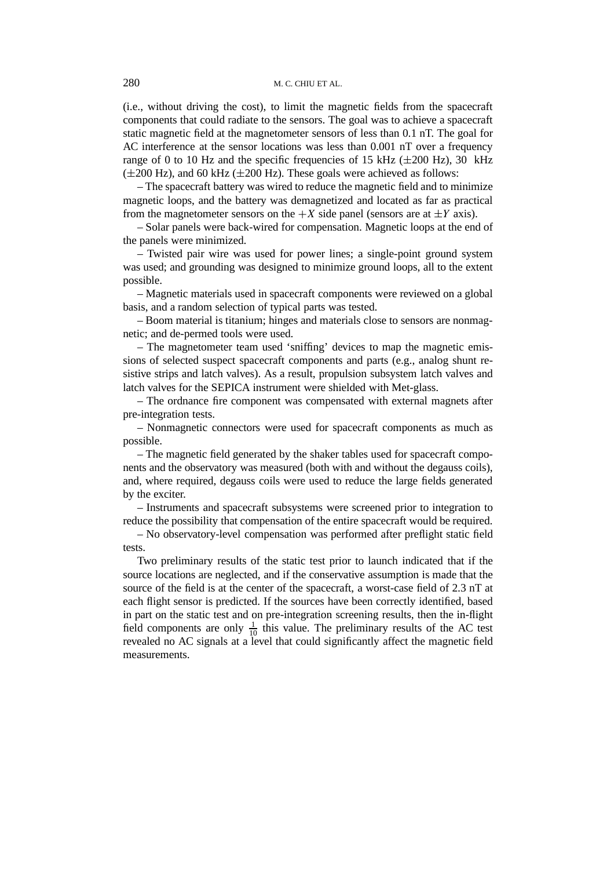(i.e., without driving the cost), to limit the magnetic fields from the spacecraft components that could radiate to the sensors. The goal was to achieve a spacecraft static magnetic field at the magnetometer sensors of less than 0.1 nT. The goal for AC interference at the sensor locations was less than 0.001 nT over a frequency range of 0 to 10 Hz and the specific frequencies of 15 kHz  $(\pm 200 \text{ Hz})$ , 30 kHz  $(\pm 200 \text{ Hz})$ , and 60 kHz ( $\pm 200 \text{ Hz}$ ). These goals were achieved as follows:

– The spacecraft battery was wired to reduce the magnetic field and to minimize magnetic loops, and the battery was demagnetized and located as far as practical from the magnetometer sensors on the  $+X$  side panel (sensors are at  $\pm Y$  axis).

– Solar panels were back-wired for compensation. Magnetic loops at the end of the panels were minimized.

– Twisted pair wire was used for power lines; a single-point ground system was used; and grounding was designed to minimize ground loops, all to the extent possible.

– Magnetic materials used in spacecraft components were reviewed on a global basis, and a random selection of typical parts was tested.

– Boom material is titanium; hinges and materials close to sensors are nonmagnetic; and de-permed tools were used.

– The magnetometer team used 'sniffing' devices to map the magnetic emissions of selected suspect spacecraft components and parts (e.g., analog shunt resistive strips and latch valves). As a result, propulsion subsystem latch valves and latch valves for the SEPICA instrument were shielded with Met-glass.

– The ordnance fire component was compensated with external magnets after pre-integration tests.

– Nonmagnetic connectors were used for spacecraft components as much as possible.

– The magnetic field generated by the shaker tables used for spacecraft components and the observatory was measured (both with and without the degauss coils), and, where required, degauss coils were used to reduce the large fields generated by the exciter.

– Instruments and spacecraft subsystems were screened prior to integration to reduce the possibility that compensation of the entire spacecraft would be required.

– No observatory-level compensation was performed after preflight static field tests.

Two preliminary results of the static test prior to launch indicated that if the source locations are neglected, and if the conservative assumption is made that the source of the field is at the center of the spacecraft, a worst-case field of 2.3 nT at each flight sensor is predicted. If the sources have been correctly identified, based in part on the static test and on pre-integration screening results, then the in-flight field components are only  $\frac{1}{10}$  this value. The preliminary results of the AC test revealed no AC signals at a level that could significantly affect the magnetic field measurements.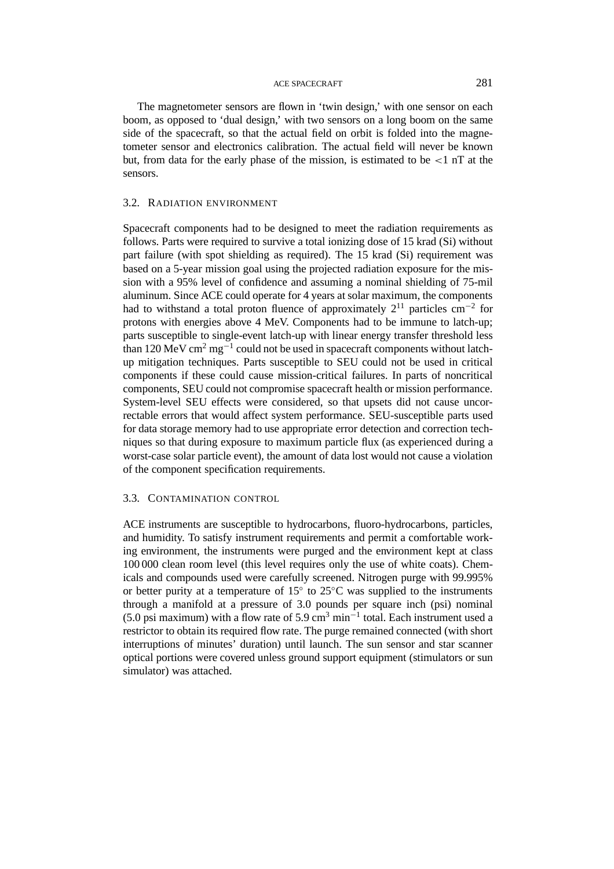The magnetometer sensors are flown in 'twin design,' with one sensor on each boom, as opposed to 'dual design,' with two sensors on a long boom on the same side of the spacecraft, so that the actual field on orbit is folded into the magnetometer sensor and electronics calibration. The actual field will never be known but, from data for the early phase of the mission, is estimated to be *<*1 nT at the sensors.

## 3.2. RADIATION ENVIRONMENT

Spacecraft components had to be designed to meet the radiation requirements as follows. Parts were required to survive a total ionizing dose of 15 krad (Si) without part failure (with spot shielding as required). The 15 krad (Si) requirement was based on a 5-year mission goal using the projected radiation exposure for the mission with a 95% level of confidence and assuming a nominal shielding of 75-mil aluminum. Since ACE could operate for 4 years at solar maximum, the components had to withstand a total proton fluence of approximately  $2^{11}$  particles cm<sup>-2</sup> for protons with energies above 4 MeV. Components had to be immune to latch-up; parts susceptible to single-event latch-up with linear energy transfer threshold less than 120 MeV cm<sup>2</sup> mg<sup>-1</sup> could not be used in spacecraft components without latchup mitigation techniques. Parts susceptible to SEU could not be used in critical components if these could cause mission-critical failures. In parts of noncritical components, SEU could not compromise spacecraft health or mission performance. System-level SEU effects were considered, so that upsets did not cause uncorrectable errors that would affect system performance. SEU-susceptible parts used for data storage memory had to use appropriate error detection and correction techniques so that during exposure to maximum particle flux (as experienced during a worst-case solar particle event), the amount of data lost would not cause a violation of the component specification requirements.

# 3.3. CONTAMINATION CONTROL

ACE instruments are susceptible to hydrocarbons, fluoro-hydrocarbons, particles, and humidity. To satisfy instrument requirements and permit a comfortable working environment, the instruments were purged and the environment kept at class 100 000 clean room level (this level requires only the use of white coats). Chemicals and compounds used were carefully screened. Nitrogen purge with 99.995% or better purity at a temperature of  $15°$  to  $25°C$  was supplied to the instruments through a manifold at a pressure of 3.0 pounds per square inch (psi) nominal (5.0 psi maximum) with a flow rate of 5.9 cm<sup>3</sup> min<sup>-1</sup> total. Each instrument used a restrictor to obtain its required flow rate. The purge remained connected (with short interruptions of minutes' duration) until launch. The sun sensor and star scanner optical portions were covered unless ground support equipment (stimulators or sun simulator) was attached.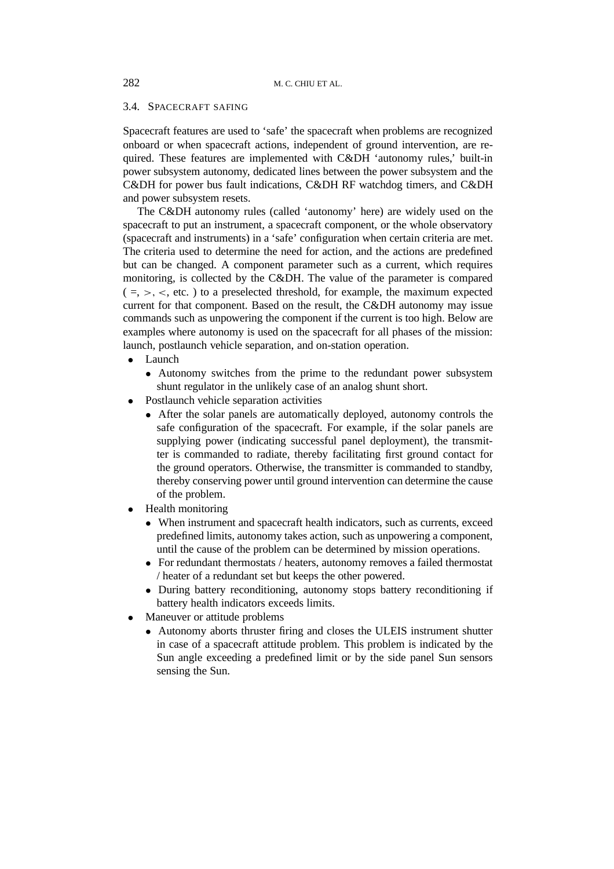## 3.4. SPACECRAFT SAFING

Spacecraft features are used to 'safe' the spacecraft when problems are recognized onboard or when spacecraft actions, independent of ground intervention, are required. These features are implemented with C&DH 'autonomy rules,' built-in power subsystem autonomy, dedicated lines between the power subsystem and the C&DH for power bus fault indications, C&DH RF watchdog timers, and C&DH and power subsystem resets.

The C&DH autonomy rules (called 'autonomy' here) are widely used on the spacecraft to put an instrument, a spacecraft component, or the whole observatory (spacecraft and instruments) in a 'safe' configuration when certain criteria are met. The criteria used to determine the need for action, and the actions are predefined but can be changed. A component parameter such as a current, which requires monitoring, is collected by the C&DH. The value of the parameter is compared  $( =, >, <, etc. )$  to a preselected threshold, for example, the maximum expected current for that component. Based on the result, the C&DH autonomy may issue commands such as unpowering the component if the current is too high. Below are examples where autonomy is used on the spacecraft for all phases of the mission: launch, postlaunch vehicle separation, and on-station operation.

- Launch
	- Autonomy switches from the prime to the redundant power subsystem shunt regulator in the unlikely case of an analog shunt short.
- Postlaunch vehicle separation activities
	- After the solar panels are automatically deployed, autonomy controls the safe configuration of the spacecraft. For example, if the solar panels are supplying power (indicating successful panel deployment), the transmitter is commanded to radiate, thereby facilitating first ground contact for the ground operators. Otherwise, the transmitter is commanded to standby, thereby conserving power until ground intervention can determine the cause of the problem.
- Health monitoring
	- When instrument and spacecraft health indicators, such as currents, exceed predefined limits, autonomy takes action, such as unpowering a component, until the cause of the problem can be determined by mission operations.
	- For redundant thermostats / heaters, autonomy removes a failed thermostat / heater of a redundant set but keeps the other powered.
	- During battery reconditioning, autonomy stops battery reconditioning if battery health indicators exceeds limits.
- Maneuver or attitude problems
	- Autonomy aborts thruster firing and closes the ULEIS instrument shutter in case of a spacecraft attitude problem. This problem is indicated by the Sun angle exceeding a predefined limit or by the side panel Sun sensors sensing the Sun.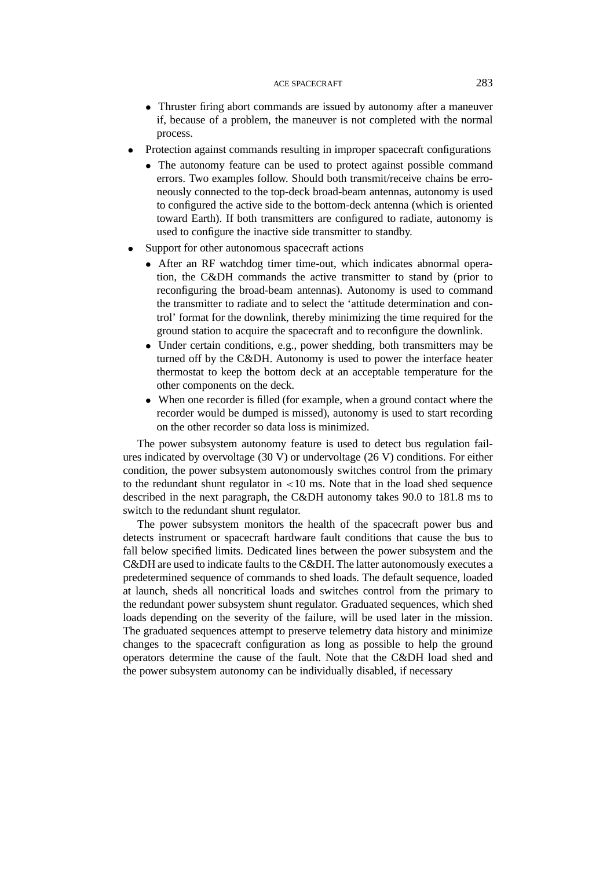- Thruster firing abort commands are issued by autonomy after a maneuver if, because of a problem, the maneuver is not completed with the normal process.
- Protection against commands resulting in improper spacecraft configurations
	- The autonomy feature can be used to protect against possible command errors. Two examples follow. Should both transmit/receive chains be erroneously connected to the top-deck broad-beam antennas, autonomy is used to configured the active side to the bottom-deck antenna (which is oriented toward Earth). If both transmitters are configured to radiate, autonomy is used to configure the inactive side transmitter to standby.
- Support for other autonomous spacecraft actions
	- After an RF watchdog timer time-out, which indicates abnormal operation, the C&DH commands the active transmitter to stand by (prior to reconfiguring the broad-beam antennas). Autonomy is used to command the transmitter to radiate and to select the 'attitude determination and control' format for the downlink, thereby minimizing the time required for the ground station to acquire the spacecraft and to reconfigure the downlink.
	- Under certain conditions, e.g., power shedding, both transmitters may be turned off by the C&DH. Autonomy is used to power the interface heater thermostat to keep the bottom deck at an acceptable temperature for the other components on the deck.
	- When one recorder is filled (for example, when a ground contact where the recorder would be dumped is missed), autonomy is used to start recording on the other recorder so data loss is minimized.

The power subsystem autonomy feature is used to detect bus regulation failures indicated by overvoltage (30 V) or undervoltage (26 V) conditions. For either condition, the power subsystem autonomously switches control from the primary to the redundant shunt regulator in *<*10 ms. Note that in the load shed sequence described in the next paragraph, the C&DH autonomy takes 90.0 to 181.8 ms to switch to the redundant shunt regulator.

The power subsystem monitors the health of the spacecraft power bus and detects instrument or spacecraft hardware fault conditions that cause the bus to fall below specified limits. Dedicated lines between the power subsystem and the C&DH are used to indicate faults to the C&DH. The latter autonomously executes a predetermined sequence of commands to shed loads. The default sequence, loaded at launch, sheds all noncritical loads and switches control from the primary to the redundant power subsystem shunt regulator. Graduated sequences, which shed loads depending on the severity of the failure, will be used later in the mission. The graduated sequences attempt to preserve telemetry data history and minimize changes to the spacecraft configuration as long as possible to help the ground operators determine the cause of the fault. Note that the C&DH load shed and the power subsystem autonomy can be individually disabled, if necessary